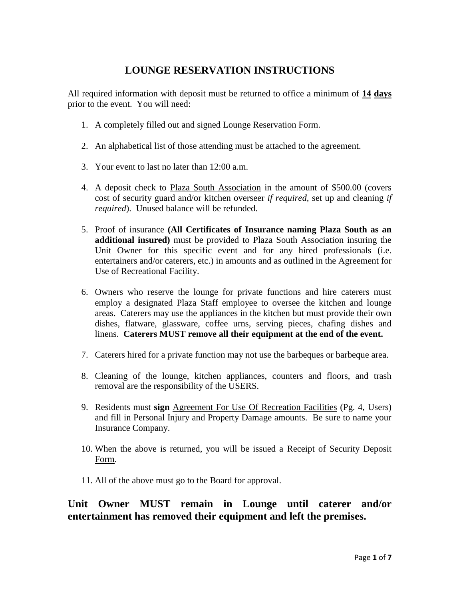# **LOUNGE RESERVATION INSTRUCTIONS**

All required information with deposit must be returned to office a minimum of **14 days** prior to the event. You will need:

- 1. A completely filled out and signed Lounge Reservation Form.
- 2. An alphabetical list of those attending must be attached to the agreement.
- 3. Your event to last no later than 12:00 a.m.
- 4. A deposit check to Plaza South Association in the amount of \$500.00 (covers cost of security guard and/or kitchen overseer *if required,* set up and cleaning *if required*). Unused balance will be refunded.
- 5. Proof of insurance **(All Certificates of Insurance naming Plaza South as an additional insured)** must be provided to Plaza South Association insuring the Unit Owner for this specific event and for any hired professionals (i.e. entertainers and/or caterers, etc.) in amounts and as outlined in the Agreement for Use of Recreational Facility.
- 6. Owners who reserve the lounge for private functions and hire caterers must employ a designated Plaza Staff employee to oversee the kitchen and lounge areas. Caterers may use the appliances in the kitchen but must provide their own dishes, flatware, glassware, coffee urns, serving pieces, chafing dishes and linens. **Caterers MUST remove all their equipment at the end of the event.**
- 7. Caterers hired for a private function may not use the barbeques or barbeque area.
- 8. Cleaning of the lounge, kitchen appliances, counters and floors, and trash removal are the responsibility of the USERS.
- 9. Residents must **sign** Agreement For Use Of Recreation Facilities (Pg. 4, Users) and fill in Personal Injury and Property Damage amounts. Be sure to name your Insurance Company.
- 10. When the above is returned, you will be issued a Receipt of Security Deposit Form.
- 11. All of the above must go to the Board for approval.

# **Unit Owner MUST remain in Lounge until caterer and/or entertainment has removed their equipment and left the premises.**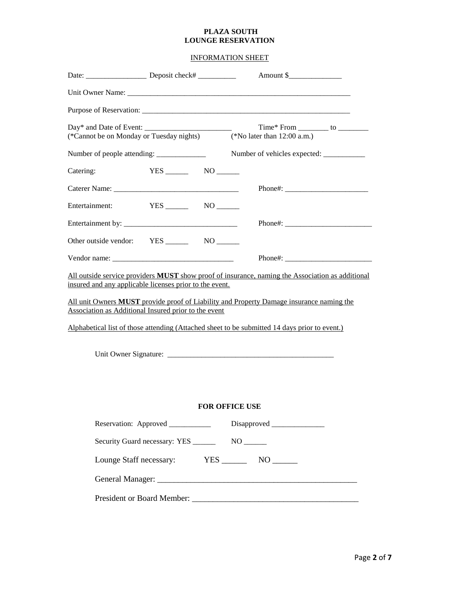### **PLAZA SOUTH LOUNGE RESERVATION**

INFORMATION SHEET

|                                                                |                                                                                                                 | Unit Owner Name:                                                                                                                                                                                                                                                                                            |  |
|----------------------------------------------------------------|-----------------------------------------------------------------------------------------------------------------|-------------------------------------------------------------------------------------------------------------------------------------------------------------------------------------------------------------------------------------------------------------------------------------------------------------|--|
|                                                                |                                                                                                                 |                                                                                                                                                                                                                                                                                                             |  |
|                                                                |                                                                                                                 | (*Cannot be on Monday or Tuesday nights) (*No later than 12:00 a.m.)                                                                                                                                                                                                                                        |  |
|                                                                | Number of people attending: ________________                                                                    |                                                                                                                                                                                                                                                                                                             |  |
| Catering:                                                      |                                                                                                                 |                                                                                                                                                                                                                                                                                                             |  |
|                                                                |                                                                                                                 |                                                                                                                                                                                                                                                                                                             |  |
|                                                                | Entertainment: YES _____ NO _____                                                                               |                                                                                                                                                                                                                                                                                                             |  |
|                                                                |                                                                                                                 |                                                                                                                                                                                                                                                                                                             |  |
|                                                                |                                                                                                                 |                                                                                                                                                                                                                                                                                                             |  |
|                                                                |                                                                                                                 |                                                                                                                                                                                                                                                                                                             |  |
|                                                                | insured and any applicable licenses prior to the event.<br>Association as Additional Insured prior to the event | All outside service providers <b>MUST</b> show proof of insurance, naming the Association as additional<br>All unit Owners <b>MUST</b> provide proof of Liability and Property Damage insurance naming the<br>Alphabetical list of those attending (Attached sheet to be submitted 14 days prior to event.) |  |
|                                                                |                                                                                                                 |                                                                                                                                                                                                                                                                                                             |  |
|                                                                |                                                                                                                 | <b>FOR OFFICE USE</b>                                                                                                                                                                                                                                                                                       |  |
| Reservation: Approved ______________ Disapproved _____________ |                                                                                                                 |                                                                                                                                                                                                                                                                                                             |  |
|                                                                |                                                                                                                 |                                                                                                                                                                                                                                                                                                             |  |
|                                                                |                                                                                                                 |                                                                                                                                                                                                                                                                                                             |  |
|                                                                |                                                                                                                 |                                                                                                                                                                                                                                                                                                             |  |
|                                                                |                                                                                                                 |                                                                                                                                                                                                                                                                                                             |  |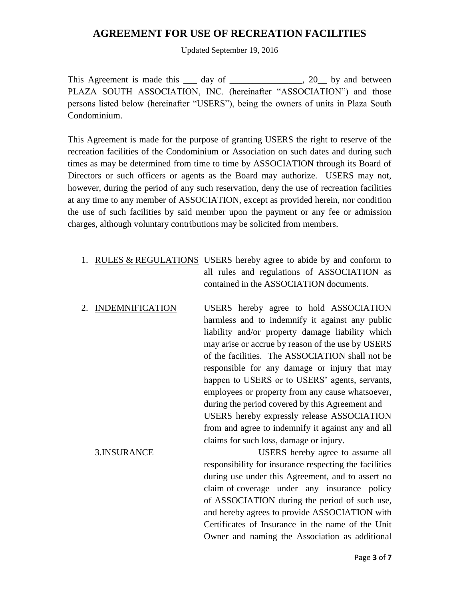## **AGREEMENT FOR USE OF RECREATION FACILITIES**

Updated September 19, 2016

This Agreement is made this day of the set of the set of the set of the set of the set of the set of the set of the set of the set of the set of the set of the set of the set of the set of the set of the set of the set of PLAZA SOUTH ASSOCIATION, INC. (hereinafter "ASSOCIATION") and those persons listed below (hereinafter "USERS"), being the owners of units in Plaza South Condominium.

This Agreement is made for the purpose of granting USERS the right to reserve of the recreation facilities of the Condominium or Association on such dates and during such times as may be determined from time to time by ASSOCIATION through its Board of Directors or such officers or agents as the Board may authorize. USERS may not, however, during the period of any such reservation, deny the use of recreation facilities at any time to any member of ASSOCIATION, except as provided herein, nor condition the use of such facilities by said member upon the payment or any fee or admission charges, although voluntary contributions may be solicited from members.

- 1. RULES & REGULATIONS USERS hereby agree to abide by and conform to all rules and regulations of ASSOCIATION as contained in the ASSOCIATION documents.
- 2. INDEMNIFICATION USERS hereby agree to hold ASSOCIATION harmless and to indemnify it against any public liability and/or property damage liability which may arise or accrue by reason of the use by USERS of the facilities. The ASSOCIATION shall not be responsible for any damage or injury that may happen to USERS or to USERS' agents, servants, employees or property from any cause whatsoever, during the period covered by this Agreement and USERS hereby expressly release ASSOCIATION from and agree to indemnify it against any and all claims for such loss, damage or injury.
	- 3.INSURANCE USERS hereby agree to assume all responsibility for insurance respecting the facilities during use under this Agreement, and to assert no claim of coverage under any insurance policy of ASSOCIATION during the period of such use, and hereby agrees to provide ASSOCIATION with Certificates of Insurance in the name of the Unit Owner and naming the Association as additional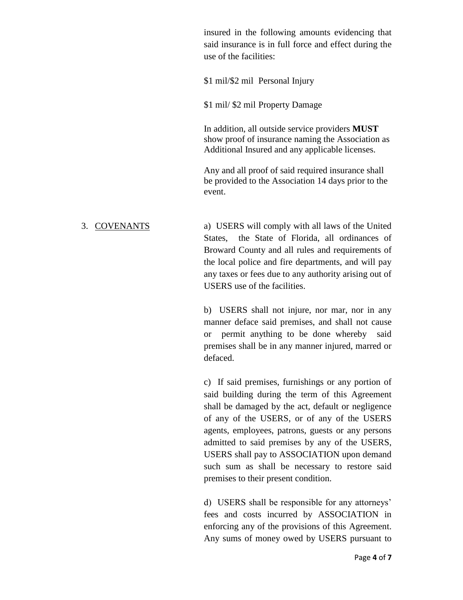insured in the following amounts evidencing that said insurance is in full force and effect during the use of the facilities:

\$1 mil/\$2 mil Personal Injury

\$1 mil/ \$2 mil Property Damage

In addition, all outside service providers **MUST** show proof of insurance naming the Association as Additional Insured and any applicable licenses.

Any and all proof of said required insurance shall be provided to the Association 14 days prior to the event.

3. COVENANTS a) USERS will comply with all laws of the United States, the State of Florida, all ordinances of Broward County and all rules and requirements of the local police and fire departments, and will pay any taxes or fees due to any authority arising out of USERS use of the facilities.

> b) USERS shall not injure, nor mar, nor in any manner deface said premises, and shall not cause or permit anything to be done whereby said premises shall be in any manner injured, marred or defaced.

> c) If said premises, furnishings or any portion of said building during the term of this Agreement shall be damaged by the act, default or negligence of any of the USERS, or of any of the USERS agents, employees, patrons, guests or any persons admitted to said premises by any of the USERS, USERS shall pay to ASSOCIATION upon demand such sum as shall be necessary to restore said premises to their present condition.

> d) USERS shall be responsible for any attorneys' fees and costs incurred by ASSOCIATION in enforcing any of the provisions of this Agreement. Any sums of money owed by USERS pursuant to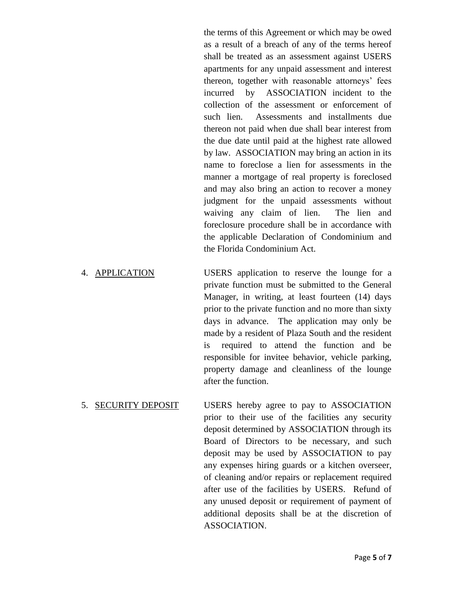the terms of this Agreement or which may be owed as a result of a breach of any of the terms hereof shall be treated as an assessment against USERS apartments for any unpaid assessment and interest thereon, together with reasonable attorneys' fees incurred by ASSOCIATION incident to the collection of the assessment or enforcement of such lien. Assessments and installments due thereon not paid when due shall bear interest from the due date until paid at the highest rate allowed by law. ASSOCIATION may bring an action in its name to foreclose a lien for assessments in the manner a mortgage of real property is foreclosed and may also bring an action to recover a money judgment for the unpaid assessments without waiving any claim of lien. The lien and foreclosure procedure shall be in accordance with the applicable Declaration of Condominium and the Florida Condominium Act.

- 4. APPLICATION USERS application to reserve the lounge for a private function must be submitted to the General Manager, in writing, at least fourteen (14) days prior to the private function and no more than sixty days in advance. The application may only be made by a resident of Plaza South and the resident is required to attend the function and be responsible for invitee behavior, vehicle parking, property damage and cleanliness of the lounge after the function.
- 5. SECURITY DEPOSIT USERS hereby agree to pay to ASSOCIATION prior to their use of the facilities any security deposit determined by ASSOCIATION through its Board of Directors to be necessary, and such deposit may be used by ASSOCIATION to pay any expenses hiring guards or a kitchen overseer, of cleaning and/or repairs or replacement required after use of the facilities by USERS. Refund of any unused deposit or requirement of payment of additional deposits shall be at the discretion of ASSOCIATION.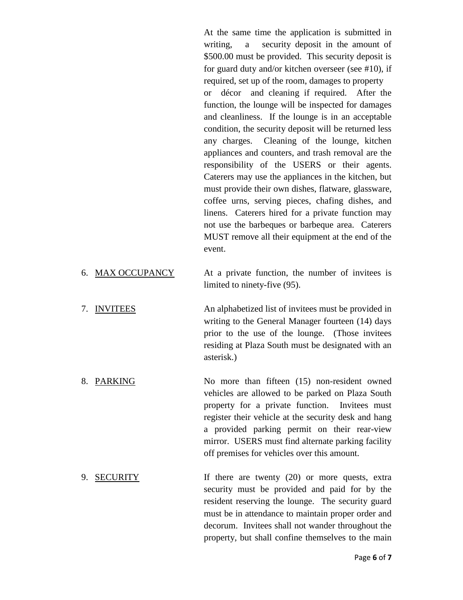At the same time the application is submitted in writing, a security deposit in the amount of \$500.00 must be provided. This security deposit is for guard duty and/or kitchen overseer (see #10), if required, set up of the room, damages to property or décor and cleaning if required. After the function, the lounge will be inspected for damages and cleanliness. If the lounge is in an acceptable condition, the security deposit will be returned less any charges. Cleaning of the lounge, kitchen appliances and counters, and trash removal are the responsibility of the USERS or their agents. Caterers may use the appliances in the kitchen, but must provide their own dishes, flatware, glassware, coffee urns, serving pieces, chafing dishes, and linens. Caterers hired for a private function may not use the barbeques or barbeque area. Caterers MUST remove all their equipment at the end of the event.

- 6. MAX OCCUPANCY At a private function, the number of invitees is limited to ninety-five (95).
- 7. INVITEES An alphabetized list of invitees must be provided in writing to the General Manager fourteen (14) days prior to the use of the lounge. (Those invitees residing at Plaza South must be designated with an asterisk.)
- 8. PARKING No more than fifteen (15) non-resident owned vehicles are allowed to be parked on Plaza South property for a private function. Invitees must register their vehicle at the security desk and hang a provided parking permit on their rear-view mirror. USERS must find alternate parking facility off premises for vehicles over this amount.
- 9. SECURITY If there are twenty (20) or more quests, extra security must be provided and paid for by the resident reserving the lounge. The security guard must be in attendance to maintain proper order and decorum. Invitees shall not wander throughout the property, but shall confine themselves to the main